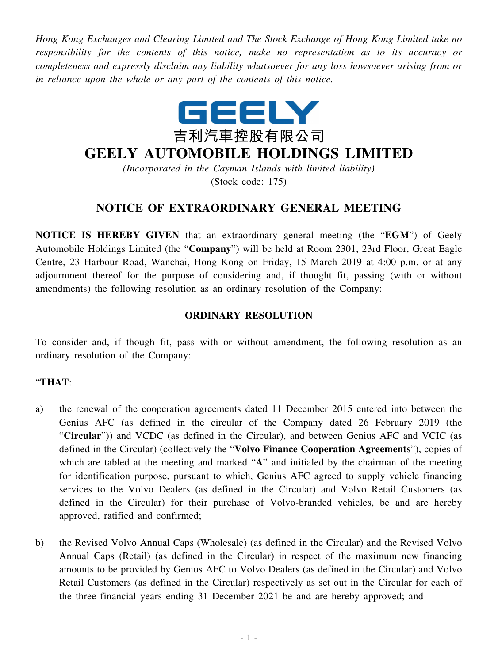*Hong Kong Exchanges and Clearing Limited and The Stock Exchange of Hong Kong Limited take no responsibility for the contents of this notice, make no representation as to its accuracy or completeness and expressly disclaim any liability whatsoever for any loss howsoever arising from or in reliance upon the whole or any part of the contents of this notice.*



## **GEELY AUTOMOBILE HOLDINGS LIMITED**

*(Incorporated in the Cayman Islands with limited liability)* (Stock code: 175)

## **NOTICE OF EXTRAORDINARY GENERAL MEETING**

**NOTICE IS HEREBY GIVEN** that an extraordinary general meeting (the "**EGM**") of Geely Automobile Holdings Limited (the "**Company**") will be held at Room 2301, 23rd Floor, Great Eagle Centre, 23 Harbour Road, Wanchai, Hong Kong on Friday, 15 March 2019 at 4:00 p.m. or at any adjournment thereof for the purpose of considering and, if thought fit, passing (with or without amendments) the following resolution as an ordinary resolution of the Company:

## **ORDINARY RESOLUTION**

To consider and, if though fit, pass with or without amendment, the following resolution as an ordinary resolution of the Company:

## "**THAT**:

- a) the renewal of the cooperation agreements dated 11 December 2015 entered into between the Genius AFC (as defined in the circular of the Company dated 26 February 2019 (the "**Circular**")) and VCDC (as defined in the Circular), and between Genius AFC and VCIC (as defined in the Circular) (collectively the "**Volvo Finance Cooperation Agreements**"), copies of which are tabled at the meeting and marked "A" and initialed by the chairman of the meeting for identification purpose, pursuant to which, Genius AFC agreed to supply vehicle financing services to the Volvo Dealers (as defined in the Circular) and Volvo Retail Customers (as defined in the Circular) for their purchase of Volvo-branded vehicles, be and are hereby approved, ratified and confirmed;
- b) the Revised Volvo Annual Caps (Wholesale) (as defined in the Circular) and the Revised Volvo Annual Caps (Retail) (as defined in the Circular) in respect of the maximum new financing amounts to be provided by Genius AFC to Volvo Dealers (as defined in the Circular) and Volvo Retail Customers (as defined in the Circular) respectively as set out in the Circular for each of the three financial years ending 31 December 2021 be and are hereby approved; and